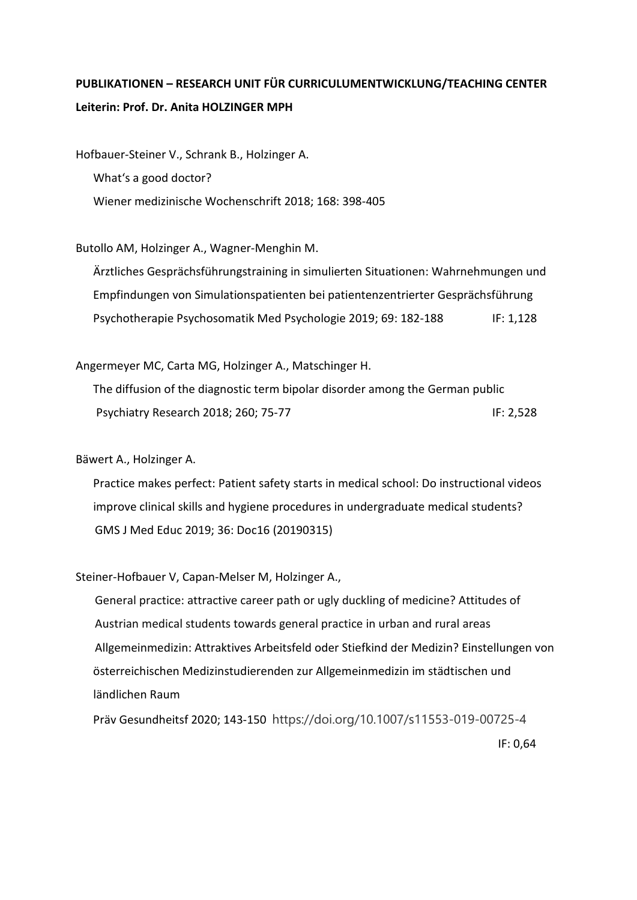## **PUBLIKATIONEN – RESEARCH UNIT FÜR CURRICULUMENTWICKLUNG/TEACHING CENTER Leiterin: Prof. Dr. Anita HOLZINGER MPH**

Hofbauer-Steiner V., Schrank B., Holzinger A. What's a good doctor? Wiener medizinische Wochenschrift 2018; 168: 398-405

Butollo AM, Holzinger A., Wagner-Menghin M.

 Ärztliches Gesprächsführungstraining in simulierten Situationen: Wahrnehmungen und Empfindungen von Simulationspatienten bei patientenzentrierter Gesprächsführung Psychotherapie Psychosomatik Med Psychologie 2019; 69: 182-188 IF: 1,128

Angermeyer MC, Carta MG, Holzinger A., Matschinger H.

 The diffusion of the diagnostic term bipolar disorder among the German public Psychiatry Research 2018; 260; 75-77 IF: 2,528

Bäwert A., Holzinger A.

 Practice makes perfect: Patient safety starts in medical school: Do instructional videos improve clinical skills and hygiene procedures in undergraduate medical students? GMS J Med Educ 2019; 36: Doc16 (20190315)

Steiner-Hofbauer V, Capan-Melser M, Holzinger A.,

General practice: attractive career path or ugly duckling of medicine? Attitudes of Austrian medical students towards general practice in urban and rural areas Allgemeinmedizin: Attraktives Arbeitsfeld oder Stiefkind der Medizin? Einstellungen von österreichischen Medizinstudierenden zur Allgemeinmedizin im städtischen und ländlichen Raum

 Präv Gesundheitsf 2020; 143-150 https://doi.org/10.1007/s11553-019-00725-4 IF: 0,64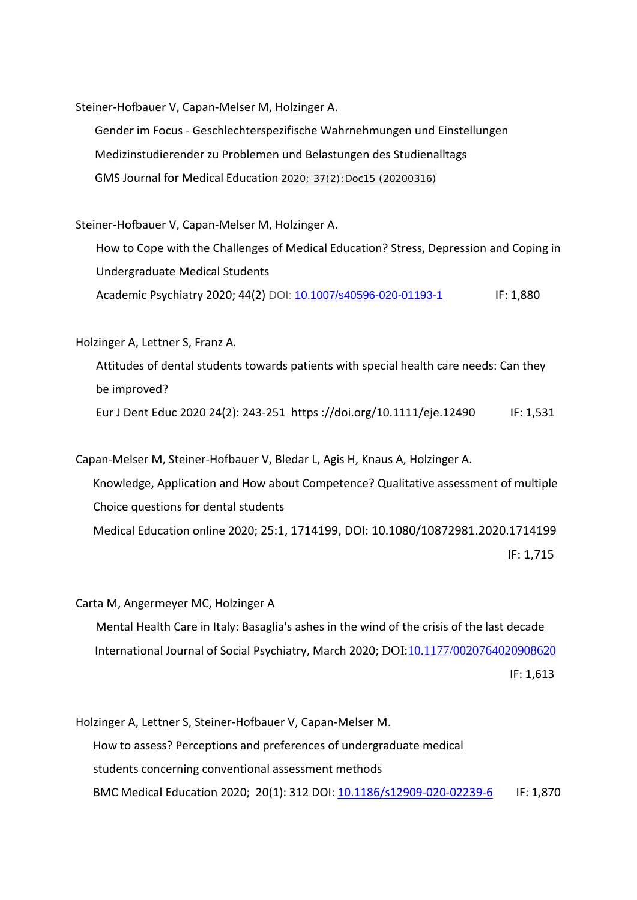Steiner-Hofbauer V, Capan-Melser M, Holzinger A.

Gender im Focus - Geschlechterspezifische Wahrnehmungen und Einstellungen Medizinstudierender zu Problemen und Belastungen des Studienalltags GMS Journal for Medical Education 2020; 37(2):Doc15 (20200316)

Steiner-Hofbauer V, Capan-Melser M, Holzinger A.

 How to Cope with the Challenges of Medical Education? Stress, Depression and Coping in Undergraduate Medical Students Academic Psychiatry 2020; 44(2) DOI: [10.1007/s40596-020-01193-1](https://www.researchgate.net/deref/http%3A%2F%2Fdx.doi.org%2F10.1007%2Fs40596-020-01193-1) IF: 1,880

Holzinger A, Lettner S, Franz A.

 Attitudes of dental students towards patients with special health care needs: Can they be improved?

Eur J Dent Educ 2020 24(2): 243-251 https ://doi.org/10.1111/eje.12490 IF: 1,531

Capan-Melser M, Steiner-Hofbauer V, Bledar L, Agis H, Knaus A, Holzinger A. Knowledge, Application and How about Competence? Qualitative assessment of multiple Choice questions for dental students Medical Education online 2020; 25:1, 1714199, DOI: 10.1080/10872981.2020.1714199 IF: 1,715

Carta M, Angermeyer MC, Holzinger A Mental Health Care in Italy: Basaglia's ashes in the wind of the crisis of the last decade International Journal of Social Psychiatry, March 2020; DOI[:10.1177/0020764020908620](https://www.researchgate.net/deref/http%3A%2F%2Fdx.doi.org%2F10.1177%2F0020764020908620?_sg%5B0%5D=VaLIemp_l5eDNzCitYBzM6Z9YVJLKHzp7FnGDeJsGQ2NIb0IEk7oVjBd5k9AQ-F5yYVMhjBsVzpt3dpCzpKJZpFqPw.KsswMBvwKSjQJhC1XRc5krc8W_ByYDKwdJyYJAO0Q7txMxHMMeZuf54Gx-zxmQRr7qeeNdNhwfGPcI7Dng2Q4g) IF: 1,613

Holzinger A, Lettner S, Steiner-Hofbauer V, Capan-Melser M. How to assess? Perceptions and preferences of undergraduate medical students concerning conventional assessment methods BMC Medical Education 2020; 20(1): 312 DOI: 10.1186/s12909-020-02239-6 IF: 1,870